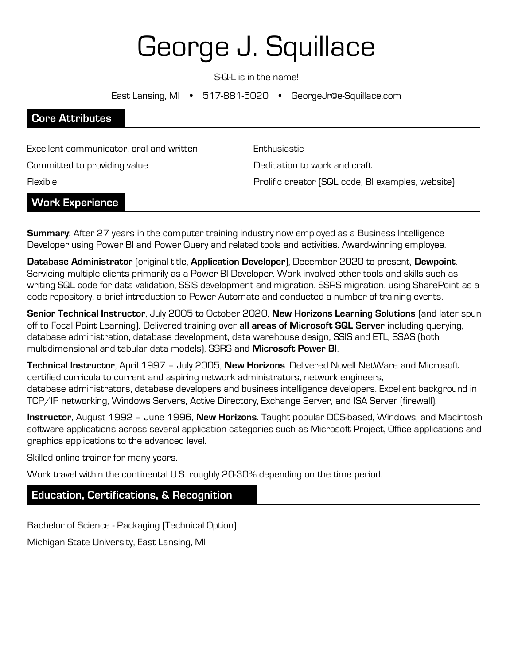# George J. Squillace

S-Q-L is in the name!

East Lansing, MI • 517-881-5020 • GeorgeJr@e-Squillace.com

| <b>Core Attributes</b>                   |                                                   |
|------------------------------------------|---------------------------------------------------|
|                                          |                                                   |
| Excellent communicator, oral and written | Enthusiastic                                      |
| Committed to providing value             | Dedication to work and craft                      |
| Flexible                                 | Prolific creator (SQL code, BI examples, website) |
| <b>Work Experience</b>                   |                                                   |

**Summary:** After 27 years in the computer training industry now employed as a Business Intelligence Developer using Power BI and Power Query and related tools and activities. Award-winning employee.

Database Administrator (original title, Application Developer), December 2020 to present, Dewpoint. Servicing multiple clients primarily as a Power BI Developer. Work involved other tools and skills such as writing SQL code for data validation, SSIS development and migration, SSRS migration, using SharePoint as a code repository, a brief introduction to Power Automate and conducted a number of training events.

Senior Technical Instructor, July 2005 to October 2020, New Horizons Learning Solutions (and later spun off to Focal Point Learning). Delivered training over all areas of Microsoft SQL Server including querying, database administration, database development, data warehouse design, SSIS and ETL, SSAS (both multidimensional and tabular data models), SSRS and Microsoft Power BI.

Technical Instructor, April 1997 - July 2005, New Horizons. Delivered Novell NetWare and Microsoft certified curricula to current and aspiring network administrators, network engineers, database administrators, database developers and business intelligence developers. Excellent background in TCP/IP networking, Windows Servers, Active Directory, Exchange Server, and ISA Server (firewall).

Instructor, August 1992 - June 1996, New Horizons. Taught popular DOS-based, Windows, and Macintosh software applications across several application categories such as Microsoft Project, Office applications and graphics applications to the advanced level.

Skilled online trainer for many years.

Work travel within the continental U.S. roughly 20-30% depending on the time period.

### Education, Certifications, & Recognition

Bachelor of Science - Packaging (Technical Option) Michigan State University, East Lansing, MI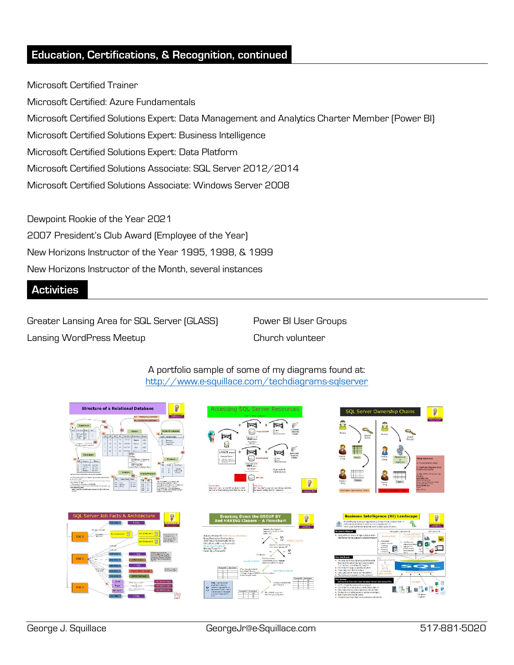## Education, Certifications, & Recognition, continued

Microsoft Certified Trainer Microsoft Certified: Azure Fundamentals Microsoft Certified Solutions Expert: Data Management and Analytics Charter Member (Power BI) Microsoft Certified Solutions Expert: Business Intelligence Microsoft Certified Solutions Expert: Data Platform Microsoft Certified Solutions Associate: SQL Server 2012/2014 Microsoft Certified Solutions Associate: Windows Server 2008

Dewpoint Rookie of the Year 2021 2007 President's Club Award (Employee of the Year) New Horizons Instructor of the Year 1995, 1998, & 1999 New Horizons Instructor of the Month, several instances

### **Activities**

Greater Lansing Area for SQL Server (GLASS) Power BI User Groups Lansing WordPress Meetup Church volunteer

A portfolio sample of some of my diagrams found at: http://www.e-squillace.com/techdiagrams-sqlserver











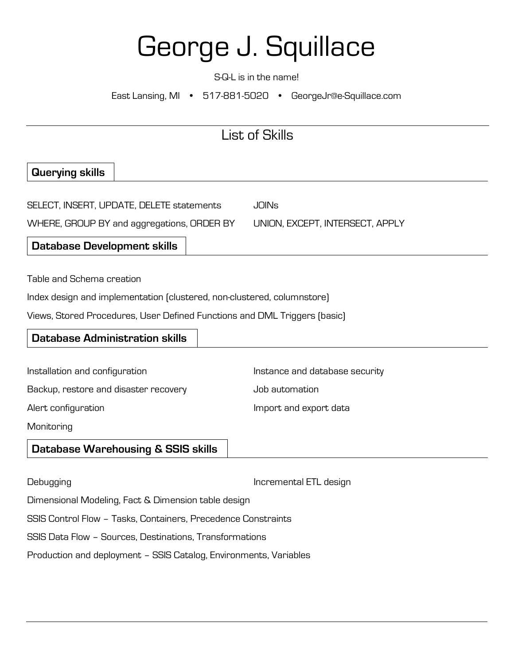# George J. Squillace

S-Q-L is in the name!

East Lansing, MI • 517-881-5020 • GeorgeJr@e-Squillace.com

## List of Skills

## Querying skills

| SELECT, INSERT, UPDATE, DELETE statements  | JOINs                           |  |
|--------------------------------------------|---------------------------------|--|
| WHERE, GROUP BY and aggregations, ORDER BY | UNION, EXCEPT, INTERSECT, APPLY |  |

Database Development skills

Table and Schema creation

Index design and implementation (clustered, non-clustered, columnstore)

Views, Stored Procedures, User Defined Functions and DML Triggers (basic)

| <b>Database Administration skills</b>         |                                |
|-----------------------------------------------|--------------------------------|
|                                               |                                |
| Installation and configuration                | Instance and database security |
| Backup, restore and disaster recovery         | Job automation                 |
| Alert configuration                           | Import and export data         |
| Monitoring                                    |                                |
| <b>Database Warehousing &amp; SSIS skills</b> |                                |
|                                               |                                |

Debugging Incremental ETL design Dimensional Modeling, Fact & Dimension table design SSIS Control Flow – Tasks, Containers, Precedence Constraints SSIS Data Flow – Sources, Destinations, Transformations Production and deployment – SSIS Catalog, Environments, Variables